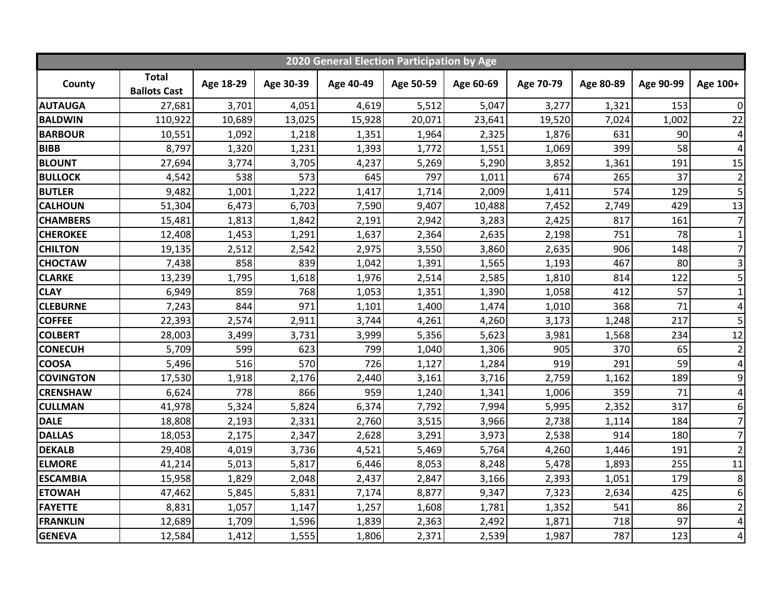| 2020 General Election Participation by Age |                                     |           |           |           |           |           |           |           |           |                 |
|--------------------------------------------|-------------------------------------|-----------|-----------|-----------|-----------|-----------|-----------|-----------|-----------|-----------------|
| County                                     | <b>Total</b><br><b>Ballots Cast</b> | Age 18-29 | Age 30-39 | Age 40-49 | Age 50-59 | Age 60-69 | Age 70-79 | Age 80-89 | Age 90-99 | Age 100+        |
| <b>AUTAUGA</b>                             | 27,681                              | 3,701     | 4,051     | 4,619     | 5,512     | 5,047     | 3,277     | 1,321     | 153       | $\overline{0}$  |
| <b>BALDWIN</b>                             | 110,922                             | 10,689    | 13,025    | 15,928    | 20,071    | 23,641    | 19,520    | 7,024     | 1,002     | 22              |
| <b>BARBOUR</b>                             | 10,551                              | 1,092     | 1,218     | 1,351     | 1,964     | 2,325     | 1,876     | 631       | 90        | $\vert 4 \vert$ |
| <b>BIBB</b>                                | 8,797                               | 1,320     | 1,231     | 1,393     | 1,772     | 1,551     | 1,069     | 399       | 58        | $\vert 4 \vert$ |
| <b>BLOUNT</b>                              | 27,694                              | 3,774     | 3,705     | 4,237     | 5,269     | 5,290     | 3,852     | 1,361     | 191       | 15              |
| <b>BULLOCK</b>                             | 4,542                               | 538       | 573       | 645       | 797       | 1,011     | 674       | 265       | 37        | $\overline{2}$  |
| <b>BUTLER</b>                              | 9,482                               | 1,001     | 1,222     | 1,417     | 1,714     | 2,009     | 1,411     | 574       | 129       | 5 <sup>1</sup>  |
| <b>CALHOUN</b>                             | 51,304                              | 6,473     | 6,703     | 7,590     | 9,407     | 10,488    | 7,452     | 2,749     | 429       | 13              |
| <b>CHAMBERS</b>                            | 15,481                              | 1,813     | 1,842     | 2,191     | 2,942     | 3,283     | 2,425     | 817       | 161       | $\overline{7}$  |
| <b>CHEROKEE</b>                            | 12,408                              | 1,453     | 1,291     | 1,637     | 2,364     | 2,635     | 2,198     | 751       | 78        | $\mathbf{1}$    |
| <b>CHILTON</b>                             | 19,135                              | 2,512     | 2,542     | 2,975     | 3,550     | 3,860     | 2,635     | 906       | 148       | 7               |
| <b>CHOCTAW</b>                             | 7,438                               | 858       | 839       | 1,042     | 1,391     | 1,565     | 1,193     | 467       | 80        | $\overline{3}$  |
| <b>CLARKE</b>                              | 13,239                              | 1,795     | 1,618     | 1,976     | 2,514     | 2,585     | 1,810     | 814       | 122       | $\overline{5}$  |
| <b>CLAY</b>                                | 6,949                               | 859       | 768       | 1,053     | 1,351     | 1,390     | 1,058     | 412       | 57        | $1\vert$        |
| <b>CLEBURNE</b>                            | 7,243                               | 844       | 971       | 1,101     | 1,400     | 1,474     | 1,010     | 368       | 71        | $\vert 4 \vert$ |
| <b>COFFEE</b>                              | 22,393                              | 2,574     | 2,911     | 3,744     | 4,261     | 4,260     | 3,173     | 1,248     | 217       | 5 <sup>1</sup>  |
| <b>COLBERT</b>                             | 28,003                              | 3,499     | 3,731     | 3,999     | 5,356     | 5,623     | 3,981     | 1,568     | 234       | 12              |
| <b>CONECUH</b>                             | 5,709                               | 599       | 623       | 799       | 1,040     | 1,306     | 905       | 370       | 65        | $\overline{2}$  |
| <b>COOSA</b>                               | 5,496                               | 516       | 570       | 726       | 1,127     | 1,284     | 919       | 291       | 59        | $\vert 4 \vert$ |
| <b>COVINGTON</b>                           | 17,530                              | 1,918     | 2,176     | 2,440     | 3,161     | 3,716     | 2,759     | 1,162     | 189       | $\overline{9}$  |
| <b>CRENSHAW</b>                            | 6,624                               | 778       | 866       | 959       | 1,240     | 1,341     | 1,006     | 359       | 71        | $\vert 4 \vert$ |
| <b>CULLMAN</b>                             | 41,978                              | 5,324     | 5,824     | 6,374     | 7,792     | 7,994     | 5,995     | 2,352     | 317       | 6 <sup>1</sup>  |
| <b>DALE</b>                                | 18,808                              | 2,193     | 2,331     | 2,760     | 3,515     | 3,966     | 2,738     | 1,114     | 184       | $\overline{7}$  |
| <b>DALLAS</b>                              | 18,053                              | 2,175     | 2,347     | 2,628     | 3,291     | 3,973     | 2,538     | 914       | 180       | 7               |
| <b>DEKALB</b>                              | 29,408                              | 4,019     | 3,736     | 4,521     | 5,469     | 5,764     | 4,260     | 1,446     | 191       | $\overline{2}$  |
| <b>ELMORE</b>                              | 41,214                              | 5,013     | 5,817     | 6,446     | 8,053     | 8,248     | 5,478     | 1,893     | 255       | 11              |
| <b>ESCAMBIA</b>                            | 15,958                              | 1,829     | 2,048     | 2,437     | 2,847     | 3,166     | 2,393     | 1,051     | 179       | 8               |
| <b>ETOWAH</b>                              | 47,462                              | 5,845     | 5,831     | 7,174     | 8,877     | 9,347     | 7,323     | 2,634     | 425       | $6 \mid$        |
| <b>FAYETTE</b>                             | 8,831                               | 1,057     | 1,147     | 1,257     | 1,608     | 1,781     | 1,352     | 541       | 86        | $\overline{2}$  |
| <b>FRANKLIN</b>                            | 12,689                              | 1,709     | 1,596     | 1,839     | 2,363     | 2,492     | 1,871     | 718       | 97        | $\vert 4 \vert$ |
| <b>GENEVA</b>                              | 12,584                              | 1,412     | 1,555     | 1,806     | 2,371     | 2,539     | 1,987     | 787       | 123       | $\vert 4 \vert$ |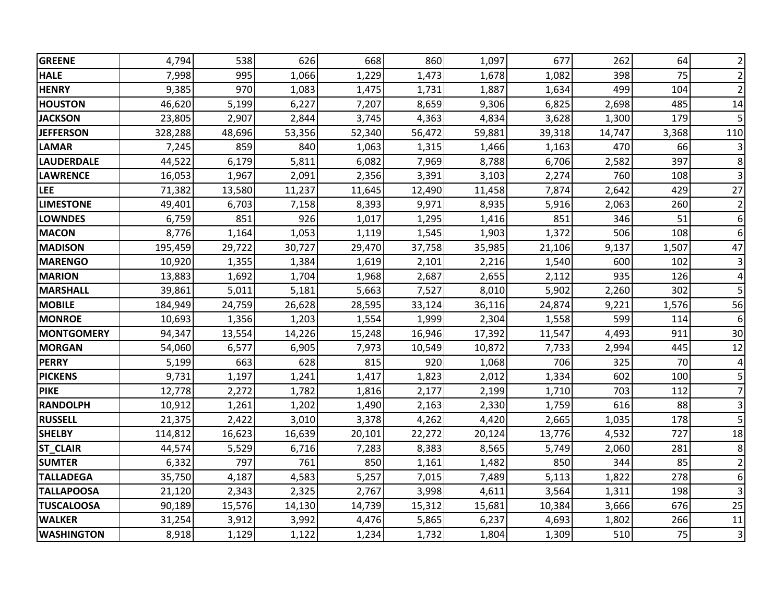| <b>GREENE</b>     | 4,794   | 538    | 626    | 668    | 860    | 1,097  | 677    | 262    | 64    | $\overline{2}$          |
|-------------------|---------|--------|--------|--------|--------|--------|--------|--------|-------|-------------------------|
| <b>HALE</b>       | 7,998   | 995    | 1,066  | 1,229  | 1,473  | 1,678  | 1,082  | 398    | 75    | $\overline{2}$          |
| <b>HENRY</b>      | 9,385   | 970    | 1,083  | 1,475  | 1,731  | 1,887  | 1,634  | 499    | 104   | $\overline{2}$          |
| <b>HOUSTON</b>    | 46,620  | 5,199  | 6,227  | 7,207  | 8,659  | 9,306  | 6,825  | 2,698  | 485   | 14                      |
| <b>JACKSON</b>    | 23,805  | 2,907  | 2,844  | 3,745  | 4,363  | 4,834  | 3,628  | 1,300  | 179   | 5                       |
| <b>JEFFERSON</b>  | 328,288 | 48,696 | 53,356 | 52,340 | 56,472 | 59,881 | 39,318 | 14,747 | 3,368 | 110                     |
| <b>LAMAR</b>      | 7,245   | 859    | 840    | 1,063  | 1,315  | 1,466  | 1,163  | 470    | 66    | $\mathsf 3$             |
| <b>LAUDERDALE</b> | 44,522  | 6,179  | 5,811  | 6,082  | 7,969  | 8,788  | 6,706  | 2,582  | 397   | 8                       |
| <b>LAWRENCE</b>   | 16,053  | 1,967  | 2,091  | 2,356  | 3,391  | 3,103  | 2,274  | 760    | 108   | 3                       |
| <b>LEE</b>        | 71,382  | 13,580 | 11,237 | 11,645 | 12,490 | 11,458 | 7,874  | 2,642  | 429   | 27                      |
| <b>LIMESTONE</b>  | 49,401  | 6,703  | 7,158  | 8,393  | 9,971  | 8,935  | 5,916  | 2,063  | 260   | $\overline{2}$          |
| <b>LOWNDES</b>    | 6,759   | 851    | 926    | 1,017  | 1,295  | 1,416  | 851    | 346    | 51    | 6                       |
| <b>MACON</b>      | 8,776   | 1,164  | 1,053  | 1,119  | 1,545  | 1,903  | 1,372  | 506    | 108   | 6                       |
| <b>MADISON</b>    | 195,459 | 29,722 | 30,727 | 29,470 | 37,758 | 35,985 | 21,106 | 9,137  | 1,507 | 47                      |
| <b>MARENGO</b>    | 10,920  | 1,355  | 1,384  | 1,619  | 2,101  | 2,216  | 1,540  | 600    | 102   | $\overline{\mathbf{3}}$ |
| <b>MARION</b>     | 13,883  | 1,692  | 1,704  | 1,968  | 2,687  | 2,655  | 2,112  | 935    | 126   | $\overline{\mathbf{r}}$ |
| <b>MARSHALL</b>   | 39,861  | 5,011  | 5,181  | 5,663  | 7,527  | 8,010  | 5,902  | 2,260  | 302   | 5                       |
| <b>MOBILE</b>     | 184,949 | 24,759 | 26,628 | 28,595 | 33,124 | 36,116 | 24,874 | 9,221  | 1,576 | 56                      |
| <b>MONROE</b>     | 10,693  | 1,356  | 1,203  | 1,554  | 1,999  | 2,304  | 1,558  | 599    | 114   | 6                       |
| <b>MONTGOMERY</b> | 94,347  | 13,554 | 14,226 | 15,248 | 16,946 | 17,392 | 11,547 | 4,493  | 911   | 30                      |
| <b>MORGAN</b>     | 54,060  | 6,577  | 6,905  | 7,973  | 10,549 | 10,872 | 7,733  | 2,994  | 445   | 12                      |
| <b>PERRY</b>      | 5,199   | 663    | 628    | 815    | 920    | 1,068  | 706    | 325    | 70    | 4                       |
| <b>PICKENS</b>    | 9,731   | 1,197  | 1,241  | 1,417  | 1,823  | 2,012  | 1,334  | 602    | 100   | 5                       |
| <b>PIKE</b>       | 12,778  | 2,272  | 1,782  | 1,816  | 2,177  | 2,199  | 1,710  | 703    | 112   | $\overline{7}$          |
| <b>RANDOLPH</b>   | 10,912  | 1,261  | 1,202  | 1,490  | 2,163  | 2,330  | 1,759  | 616    | 88    | 3                       |
| <b>RUSSELL</b>    | 21,375  | 2,422  | 3,010  | 3,378  | 4,262  | 4,420  | 2,665  | 1,035  | 178   | 5                       |
| <b>SHELBY</b>     | 114,812 | 16,623 | 16,639 | 20,101 | 22,272 | 20,124 | 13,776 | 4,532  | 727   | 18                      |
| <b>ST_CLAIR</b>   | 44,574  | 5,529  | 6,716  | 7,283  | 8,383  | 8,565  | 5,749  | 2,060  | 281   | $\bf 8$                 |
| <b>SUMTER</b>     | 6,332   | 797    | 761    | 850    | 1,161  | 1,482  | 850    | 344    | 85    | $\overline{2}$          |
| <b>TALLADEGA</b>  | 35,750  | 4,187  | 4,583  | 5,257  | 7,015  | 7,489  | 5,113  | 1,822  | 278   | 6                       |
| <b>TALLAPOOSA</b> | 21,120  | 2,343  | 2,325  | 2,767  | 3,998  | 4,611  | 3,564  | 1,311  | 198   | 3                       |
| <b>TUSCALOOSA</b> | 90,189  | 15,576 | 14,130 | 14,739 | 15,312 | 15,681 | 10,384 | 3,666  | 676   | 25                      |
| <b>WALKER</b>     | 31,254  | 3,912  | 3,992  | 4,476  | 5,865  | 6,237  | 4,693  | 1,802  | 266   | 11                      |
| <b>WASHINGTON</b> | 8,918   | 1,129  | 1,122  | 1,234  | 1,732  | 1,804  | 1,309  | 510    | 75    | $\mathbf{3}$            |